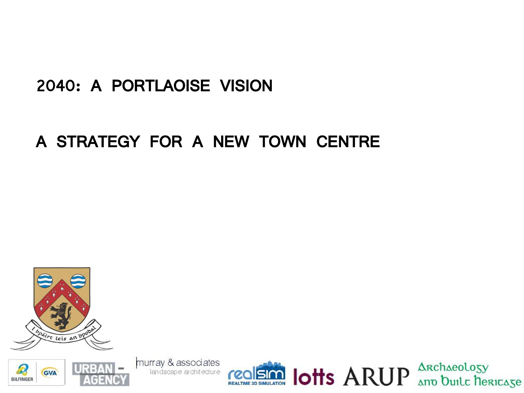#### 2040: A PORTLAOISE VISION

#### A STRATEGY FOR A NEW TOWN CENTRE



murray & associates landscape architecture



**SIM lotts ARUP** And Duilt DERICASE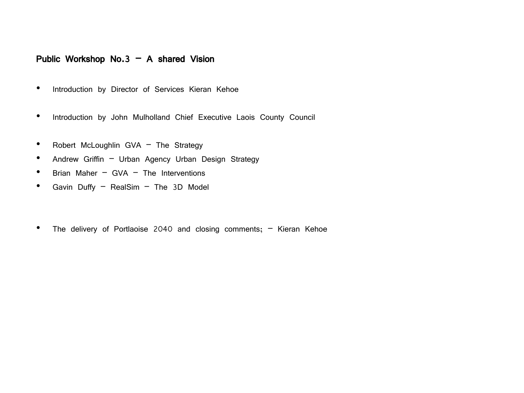#### Public Workshop No.3 – A shared Vision

- Introduction by Director of Services Kieran Kehoe
- Introduction by John Mulholland Chief Executive Laois County Council
- Robert McLoughlin GVA The Strategy
- Andrew Griffin Urban Agency Urban Design Strategy
- Brian Maher GVA The Interventions
- Gavin Duffy RealSim The 3D Model
- The delivery of Portlaoise 2040 and closing comments; Kieran Kehoe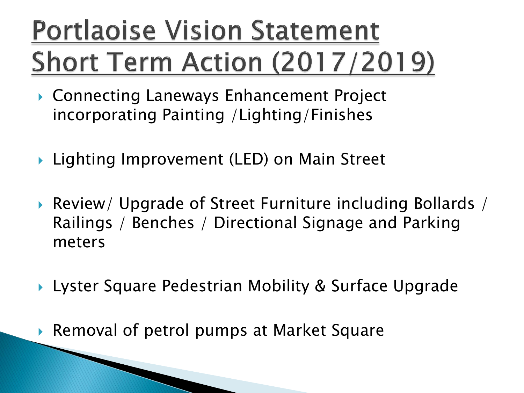# **Portlaoise Vision Statement Short Term Action (2017/2019)**

- ▶ Connecting Laneways Enhancement Project incorporating Painting /Lighting/Finishes
- ▶ Lighting Improvement (LED) on Main Street
- Review/ Upgrade of Street Furniture including Bollards / Railings / Benches / Directional Signage and Parking meters
- ▶ Lyster Square Pedestrian Mobility & Surface Upgrade
- Removal of petrol pumps at Market Square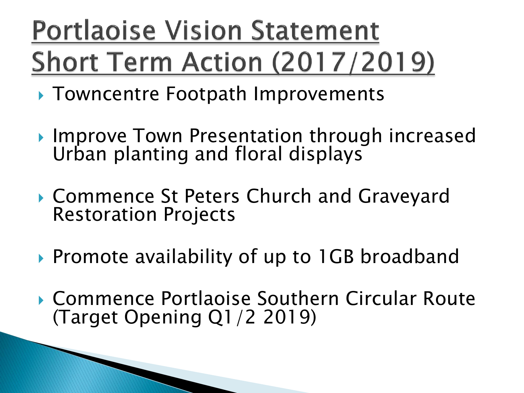# **Portlaoise Vision Statement Short Term Action (2017/2019)**

- ▶ Towncentre Footpath Improvements
- ▶ Improve Town Presentation through increased Urban planting and floral displays
- Commence St Peters Church and Graveyard Restoration Projects
- ▶ Promote availability of up to 1GB broadband
- ▶ Commence Portlaoise Southern Circular Route (Target Opening Q1/2 2019)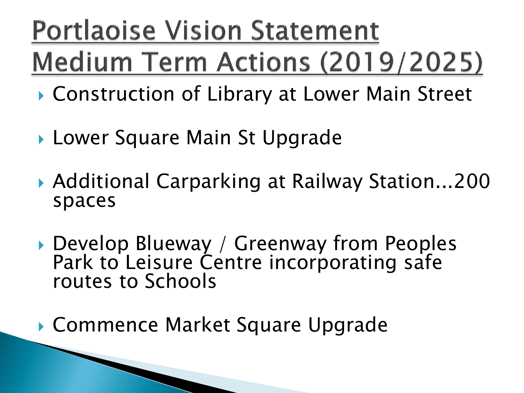# **Portlaoise Vision Statement** Medium Term Actions (2019/2025)

- ▶ Construction of Library at Lower Main Street
- ▶ Lower Square Main St Upgrade
- ▶ Additional Carparking at Railway Station...200 spaces
- ▶ Develop Blueway / Greenway from Peoples Park to Leisure Centre incorporating safe routes to Schools

▶ Commence Market Square Upgrade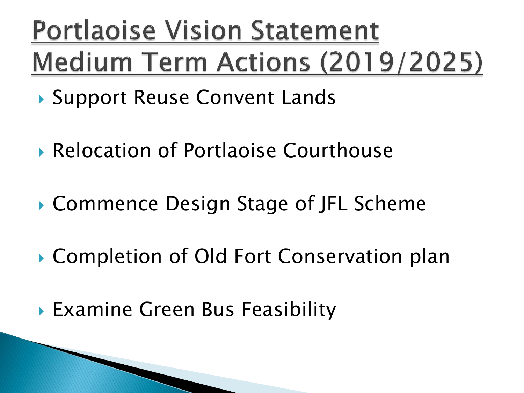# Portlaoise Vision Statement Medium Term Actions (2019/2025)

- ▶ Support Reuse Convent Lands
- Relocation of Portlaoise Courthouse
- ▶ Commence Design Stage of JFL Scheme
- ▶ Completion of Old Fort Conservation plan
- Examine Green Bus Feasibility